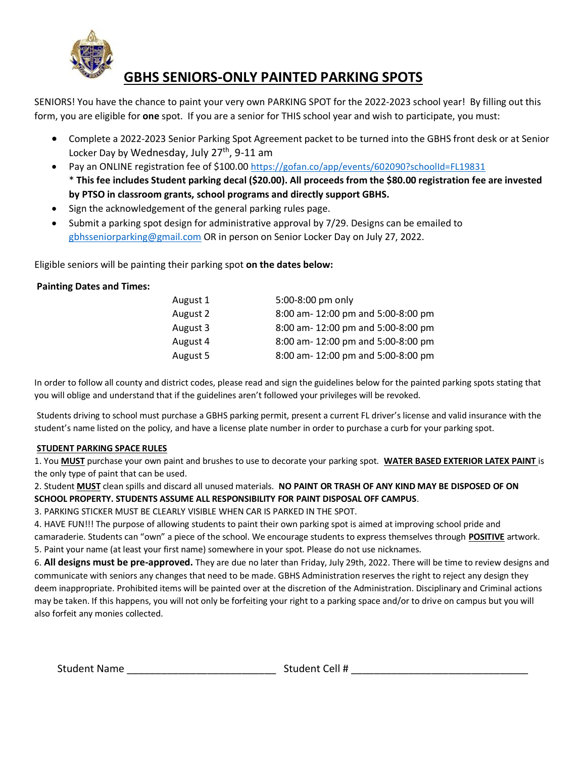

### **GBHS SENIORS-ONLY PAINTED PARKING SPOTS**

SENIORS! You have the chance to paint your very own PARKING SPOT for the 2022-2023 school year! By filling out this form, you are eligible for **one** spot. If you are a senior for THIS school year and wish to participate, you must:

- Complete a 2022-2023 Senior Parking Spot Agreement packet to be turned into the GBHS front desk or at Senior Locker Day by Wednesday, July 27<sup>th</sup>, 9-11 am
- Pay an ONLINE registration fee of \$100.00 [https://gofan.co/app/events/602090?schoolId=FL19831](https://nam11.safelinks.protection.outlook.com/?url=https%3A%2F%2Fgofan.co%2Fapp%2Fevents%2F602090%3FschoolId%3DFL19831&data=05%7C01%7CBarkerS%40santarosa.k12.fl.us%7C90b558c55a0249a0606908da22d5d166%7C4451d2cdd9cf4901bd908b5962cdaf7e%7C0%7C0%7C637860598996642445%7CUnknown%7CTWFpbGZsb3d8eyJWIjoiMC4wLjAwMDAiLCJQIjoiV2luMzIiLCJBTiI6Ik1haWwiLCJXVCI6Mn0%3D%7C3000%7C%7C%7C&sdata=ARgWBYh7SyrJKIaOGzsPd5hv3VccOzUGGq7RYzhXdgY%3D&reserved=0) \* **This fee includes Student parking decal (\$20.00). All proceeds from the \$80.00 registration fee are invested by PTSO in classroom grants, school programs and directly support GBHS.**
- Sign the acknowledgement of the general parking rules page.
- Submit a parking spot design for administrative approval by 7/29. Designs can be emailed to [gbhsseniorparking@gmail.com](mailto:gbhsseniorparking@gmail.com) OR in person on Senior Locker Day on July 27, 2022.

Eligible seniors will be painting their parking spot **on the dates below:** 

#### **Painting Dates and Times:**

| August 1 | 5:00-8:00 pm only                  |
|----------|------------------------------------|
| August 2 | 8:00 am- 12:00 pm and 5:00-8:00 pm |
| August 3 | 8:00 am- 12:00 pm and 5:00-8:00 pm |
| August 4 | 8:00 am- 12:00 pm and 5:00-8:00 pm |
| August 5 | 8:00 am- 12:00 pm and 5:00-8:00 pm |

In order to follow all county and district codes, please read and sign the guidelines below for the painted parking spots stating that you will oblige and understand that if the guidelines aren't followed your privileges will be revoked.

Students driving to school must purchase a GBHS parking permit, present a current FL driver's license and valid insurance with the student's name listed on the policy, and have a license plate number in order to purchase a curb for your parking spot.

#### **STUDENT PARKING SPACE RULES**

1. You **MUST** purchase your own paint and brushes to use to decorate your parking spot. **WATER BASED EXTERIOR LATEX PAINT** is the only type of paint that can be used.

2. Student **MUST** clean spills and discard all unused materials. **NO PAINT OR TRASH OF ANY KIND MAY BE DISPOSED OF ON SCHOOL PROPERTY. STUDENTS ASSUME ALL RESPONSIBILITY FOR PAINT DISPOSAL OFF CAMPUS**.

3. PARKING STICKER MUST BE CLEARLY VISIBLE WHEN CAR IS PARKED IN THE SPOT.

4. HAVE FUN!!! The purpose of allowing students to paint their own parking spot is aimed at improving school pride and camaraderie. Students can "own" a piece of the school. We encourage students to express themselves through **POSITIVE** artwork. 5. Paint your name (at least your first name) somewhere in your spot. Please do not use nicknames.

6. **All designs must be pre-approved.** They are due no later than Friday, July 29th, 2022. There will be time to review designs and communicate with seniors any changes that need to be made. GBHS Administration reserves the right to reject any design they deem inappropriate. Prohibited items will be painted over at the discretion of the Administration. Disciplinary and Criminal actions may be taken. If this happens, you will not only be forfeiting your right to a parking space and/or to drive on campus but you will also forfeit any monies collected.

Student Name \_\_\_\_\_\_\_\_\_\_\_\_\_\_\_\_\_\_\_\_\_\_\_\_\_\_ Student Cell # \_\_\_\_\_\_\_\_\_\_\_\_\_\_\_\_\_\_\_\_\_\_\_\_\_\_\_\_\_\_\_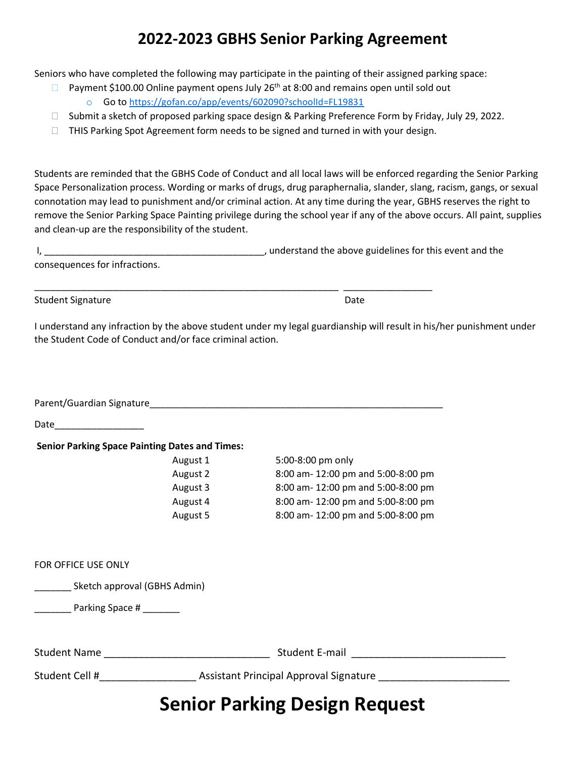## **2022-2023 GBHS Senior Parking Agreement**

Seniors who have completed the following may participate in the painting of their assigned parking space:

- $\Box$  Payment \$100.00 Online payment opens July 26<sup>th</sup> at 8:00 and remains open until sold out
	- o Go to [https://gofan.co/app/events/602090?schoolId=FL19831](https://nam11.safelinks.protection.outlook.com/?url=https%3A%2F%2Fgofan.co%2Fapp%2Fevents%2F602090%3FschoolId%3DFL19831&data=05%7C01%7CBarkerS%40santarosa.k12.fl.us%7C90b558c55a0249a0606908da22d5d166%7C4451d2cdd9cf4901bd908b5962cdaf7e%7C0%7C0%7C637860598996642445%7CUnknown%7CTWFpbGZsb3d8eyJWIjoiMC4wLjAwMDAiLCJQIjoiV2luMzIiLCJBTiI6Ik1haWwiLCJXVCI6Mn0%3D%7C3000%7C%7C%7C&sdata=ARgWBYh7SyrJKIaOGzsPd5hv3VccOzUGGq7RYzhXdgY%3D&reserved=0)
- □ Submit a sketch of proposed parking space design & Parking Preference Form by Friday, July 29, 2022.
- $\Box$  THIS Parking Spot Agreement form needs to be signed and turned in with your design.

Students are reminded that the GBHS Code of Conduct and all local laws will be enforced regarding the Senior Parking Space Personalization process. Wording or marks of drugs, drug paraphernalia, slander, slang, racism, gangs, or sexual connotation may lead to punishment and/or criminal action. At any time during the year, GBHS reserves the right to remove the Senior Parking Space Painting privilege during the school year if any of the above occurs. All paint, supplies and clean-up are the responsibility of the student.

|                                                                                                               | , understand the above guidelines for this event and the                                                             |  |
|---------------------------------------------------------------------------------------------------------------|----------------------------------------------------------------------------------------------------------------------|--|
| consequences for infractions.                                                                                 |                                                                                                                      |  |
|                                                                                                               |                                                                                                                      |  |
| <b>Student Signature</b>                                                                                      | Date                                                                                                                 |  |
| the Student Code of Conduct and/or face criminal action.                                                      | I understand any infraction by the above student under my legal guardianship will result in his/her punishment under |  |
| Parent/Guardian Signature and the contract of the contract of the contract of the contract of the contract of |                                                                                                                      |  |
| Date                                                                                                          |                                                                                                                      |  |
| <b>Senior Parking Space Painting Dates and Times:</b>                                                         |                                                                                                                      |  |

| August 1 | 5:00-8:00 pm only                  |
|----------|------------------------------------|
| August 2 | 8:00 am- 12:00 pm and 5:00-8:00 pm |
| August 3 | 8:00 am- 12:00 pm and 5:00-8:00 pm |
| August 4 | 8:00 am- 12:00 pm and 5:00-8:00 pm |
| August 5 | 8:00 am- 12:00 pm and 5:00-8:00 pm |

| FOR OFFICE USE ONLY          |
|------------------------------|
| Sketch approval (GBHS Admin) |
| Parking Space #              |
|                              |

|                     | Capicu Deuline Decien Decurent         |
|---------------------|----------------------------------------|
| Student Cell #      | Assistant Principal Approval Signature |
| <b>Student Name</b> | Student E-mail                         |

# **Senior Parking Design Request**